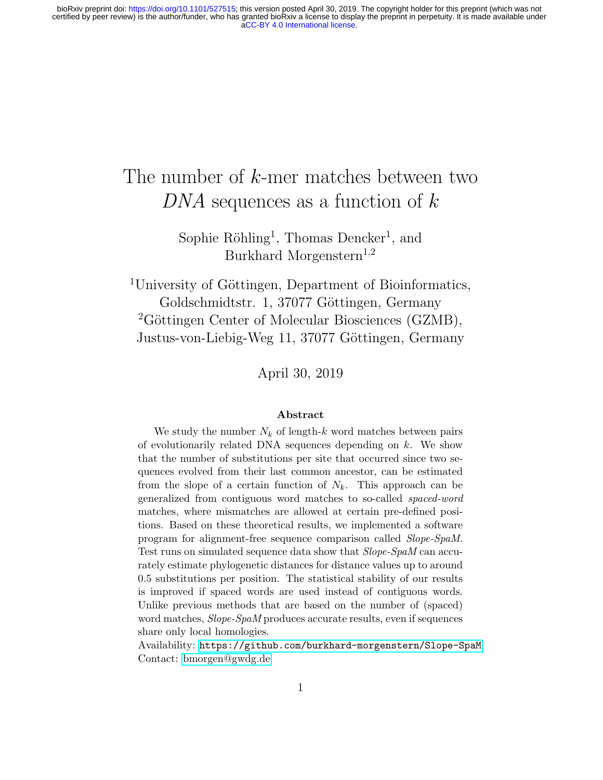# The number of  $k$ -mer matches between two DNA sequences as a function of  $k$

Sophie Röhling<sup>1</sup>, Thomas Dencker<sup>1</sup>, and Burkhard Morgenstern<sup>1,2</sup>

<sup>1</sup>University of Göttingen, Department of Bioinformatics, Goldschmidtstr. 1, 37077 Göttingen, Germany  ${}^{2}$ Göttingen Center of Molecular Biosciences (GZMB), Justus-von-Liebig-Weg 11, 37077 Göttingen, Germany

April 30, 2019

#### Abstract

We study the number  $N_k$  of length-k word matches between pairs of evolutionarily related DNA sequences depending on  $k$ . We show that the number of substitutions per site that occurred since two sequences evolved from their last common ancestor, can be estimated from the slope of a certain function of  $N_k$ . This approach can be generalized from contiguous word matches to so-called spaced-word matches, where mismatches are allowed at certain pre-defined positions. Based on these theoretical results, we implemented a software program for alignment-free sequence comparison called Slope-SpaM. Test runs on simulated sequence data show that Slope-SpaM can accurately estimate phylogenetic distances for distance values up to around 0.5 substitutions per position. The statistical stability of our results is improved if spaced words are used instead of contiguous words. Unlike previous methods that are based on the number of (spaced) word matches, *Slope-SpaM* produces accurate results, even if sequences share only local homologies.

Availability: [https://github.com/burkhard-morgenstern/Slope-SpaM](\protect \protect \protect \edef OT1{OT1}\let \enc@update \relax \protect \edef cmr{cmr}\protect \edef m{m}\protect \edef n{n}\protect \xdef \OT1/cmr/m/it/10.95 {\OT1/cmr/m/n/10.95 }\OT1/cmr/m/it/10.95 \size@update \enc@update \ignorespaces \relax \protect \relax \protect \edef cmr{cmtt}\protect \xdef \OT1/cmr/m/it/10.95 {\OT1/cmr/m/n/10.95 }\OT1/cmr/m/it/10.95 \size@update \enc@update https://github.com/burkhard-morgenstern/Slope-SpaM) Contact:<bmorgen@gwdg.de>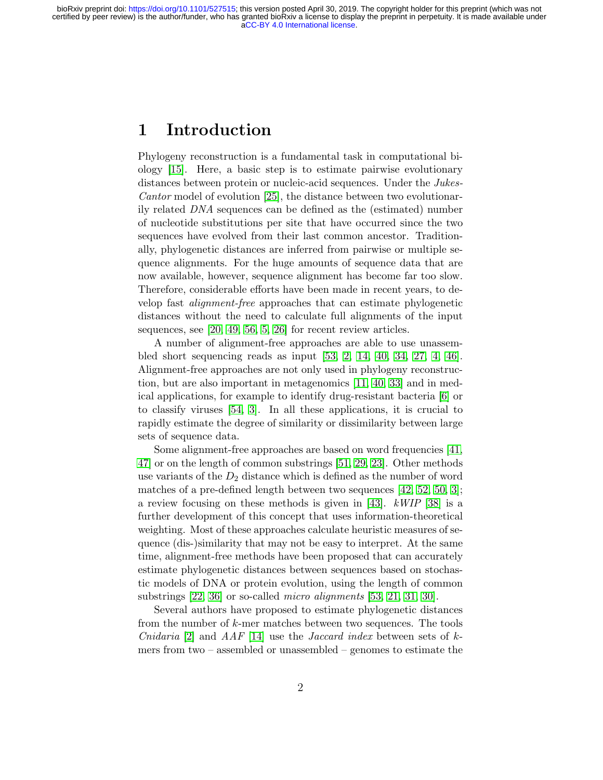### 1 Introduction

Phylogeny reconstruction is a fundamental task in computational biology [\[15\]](#page-20-0). Here, a basic step is to estimate pairwise evolutionary distances between protein or nucleic-acid sequences. Under the *Jukes*-Cantor model of evolution [\[25\]](#page-21-0), the distance between two evolutionarily related DNA sequences can be defined as the (estimated) number of nucleotide substitutions per site that have occurred since the two sequences have evolved from their last common ancestor. Traditionally, phylogenetic distances are inferred from pairwise or multiple sequence alignments. For the huge amounts of sequence data that are now available, however, sequence alignment has become far too slow. Therefore, considerable efforts have been made in recent years, to develop fast alignment-free approaches that can estimate phylogenetic distances without the need to calculate full alignments of the input sequences, see [\[20,](#page-20-1) [49,](#page-23-0) [56,](#page-24-0) [5,](#page-19-0) [26\]](#page-21-1) for recent review articles.

A number of alignment-free approaches are able to use unassembled short sequencing reads as input [\[53,](#page-24-1) [2,](#page-19-1) [14,](#page-20-2) [40,](#page-22-0) [34,](#page-22-1) [27,](#page-21-2) [4,](#page-19-2) [46\]](#page-23-1). Alignment-free approaches are not only used in phylogeny reconstruction, but are also important in metagenomics [\[11,](#page-20-3) [40,](#page-22-0) [33\]](#page-22-2) and in medical applications, for example to identify drug-resistant bacteria [\[6\]](#page-19-3) or to classify viruses [\[54,](#page-24-2) [3\]](#page-19-4). In all these applications, it is crucial to rapidly estimate the degree of similarity or dissimilarity between large sets of sequence data.

Some alignment-free approaches are based on word frequencies [\[41,](#page-22-3) [47\]](#page-23-2) or on the length of common substrings [\[51,](#page-23-3) [29,](#page-21-3) [23\]](#page-21-4). Other methods use variants of the  $D_2$  distance which is defined as the number of word matches of a pre-defined length between two sequences [\[42,](#page-22-4) [52,](#page-23-4) [50,](#page-23-5) [3\]](#page-19-4); a review focusing on these methods is given in [\[43\]](#page-23-6). kWIP [\[38\]](#page-22-5) is a further development of this concept that uses information-theoretical weighting. Most of these approaches calculate heuristic measures of sequence (dis-)similarity that may not be easy to interpret. At the same time, alignment-free methods have been proposed that can accurately estimate phylogenetic distances between sequences based on stochastic models of DNA or protein evolution, using the length of common substrings [\[22,](#page-21-5) [36\]](#page-22-6) or so-called *micro alignments* [\[53,](#page-24-1) [21,](#page-21-6) [31,](#page-21-7) [30\]](#page-21-8).

Several authors have proposed to estimate phylogenetic distances from the number of k-mer matches between two sequences. The tools *Cnidaria* [\[2\]](#page-19-1) and *AAF* [\[14\]](#page-20-2) use the *Jaccard index* between sets of kmers from two – assembled or unassembled – genomes to estimate the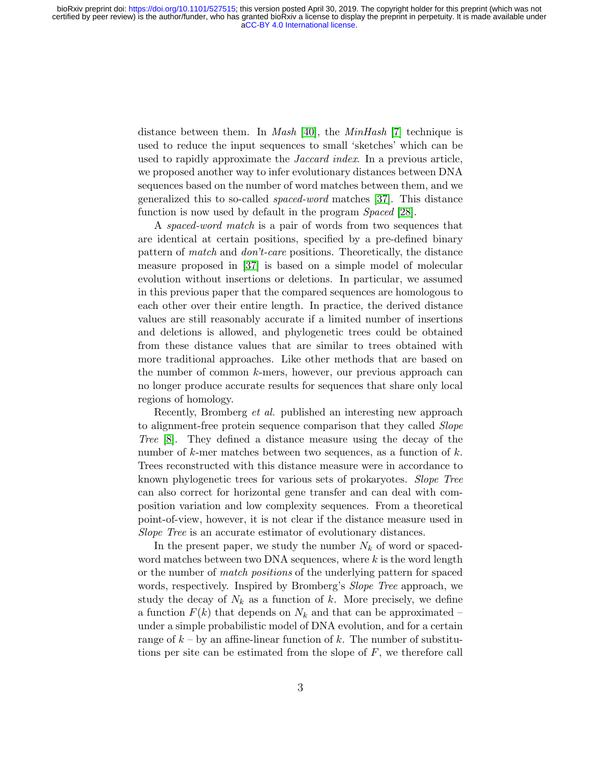distance between them. In *Mash* [\[40\]](#page-22-0), the *MinHash* [\[7\]](#page-19-5) technique is used to reduce the input sequences to small 'sketches' which can be used to rapidly approximate the *Jaccard index*. In a previous article, we proposed another way to infer evolutionary distances between DNA sequences based on the number of word matches between them, and we generalized this to so-called spaced-word matches [\[37\]](#page-22-7). This distance function is now used by default in the program *Spaced* [\[28\]](#page-21-9).

A *spaced-word match* is a pair of words from two sequences that are identical at certain positions, specified by a pre-defined binary pattern of match and don't-care positions. Theoretically, the distance measure proposed in [\[37\]](#page-22-7) is based on a simple model of molecular evolution without insertions or deletions. In particular, we assumed in this previous paper that the compared sequences are homologous to each other over their entire length. In practice, the derived distance values are still reasonably accurate if a limited number of insertions and deletions is allowed, and phylogenetic trees could be obtained from these distance values that are similar to trees obtained with more traditional approaches. Like other methods that are based on the number of common k-mers, however, our previous approach can no longer produce accurate results for sequences that share only local regions of homology.

Recently, Bromberg et al. published an interesting new approach to alignment-free protein sequence comparison that they called *Slope* Tree [\[8\]](#page-19-6). They defined a distance measure using the decay of the number of  $k$ -mer matches between two sequences, as a function of  $k$ . Trees reconstructed with this distance measure were in accordance to known phylogenetic trees for various sets of prokaryotes. Slope Tree can also correct for horizontal gene transfer and can deal with composition variation and low complexity sequences. From a theoretical point-of-view, however, it is not clear if the distance measure used in Slope Tree is an accurate estimator of evolutionary distances.

In the present paper, we study the number  $N_k$  of word or spacedword matches between two DNA sequences, where  $k$  is the word length or the number of match positions of the underlying pattern for spaced words, respectively. Inspired by Bromberg's Slope Tree approach, we study the decay of  $N_k$  as a function of k. More precisely, we define a function  $F(k)$  that depends on  $N_k$  and that can be approximated – under a simple probabilistic model of DNA evolution, and for a certain range of  $k - by$  an affine-linear function of k. The number of substitutions per site can be estimated from the slope of  $F$ , we therefore call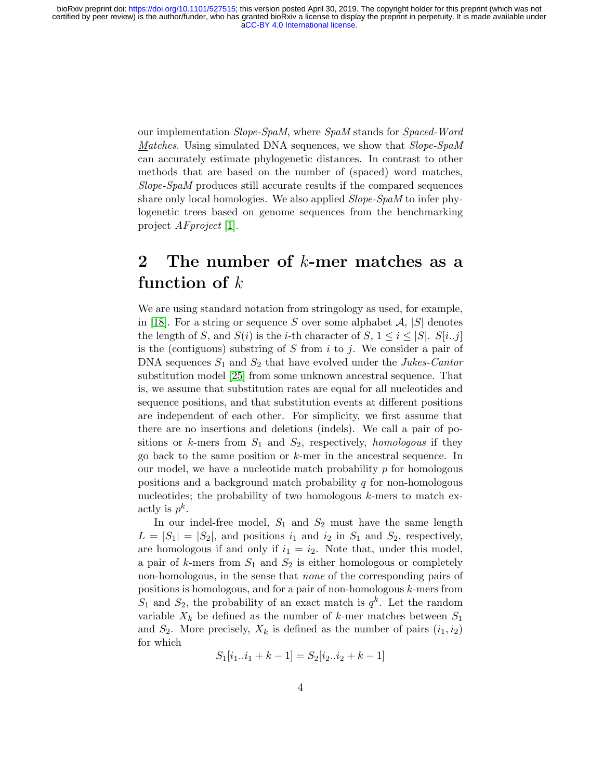our implementation Slope-SpaM, where SpaM stands for Spaced-Word Matches. Using simulated DNA sequences, we show that Slope-SpaM can accurately estimate phylogenetic distances. In contrast to other methods that are based on the number of (spaced) word matches, Slope-SpaM produces still accurate results if the compared sequences share only local homologies. We also applied *Slope-SpaM* to infer phylogenetic trees based on genome sequences from the benchmarking project AFproject [\[1\]](#page-19-7).

## <span id="page-3-0"></span>2 The number of  $k$ -mer matches as a function of  $k$

We are using standard notation from stringology as used, for example, in [\[18\]](#page-20-4). For a string or sequence S over some alphabet  $\mathcal{A}, |S|$  denotes the length of S, and  $S(i)$  is the *i*-th character of S,  $1 \leq i \leq |S|$ . S[*i..j*] is the (contiguous) substring of S from  $i$  to  $j$ . We consider a pair of DNA sequences  $S_1$  and  $S_2$  that have evolved under the *Jukes-Cantor* substitution model [\[25\]](#page-21-0) from some unknown ancestral sequence. That is, we assume that substitution rates are equal for all nucleotides and sequence positions, and that substitution events at different positions are independent of each other. For simplicity, we first assume that there are no insertions and deletions (indels). We call a pair of positions or k-mers from  $S_1$  and  $S_2$ , respectively, *homologous* if they go back to the same position or k-mer in the ancestral sequence. In our model, we have a nucleotide match probability  $p$  for homologous positions and a background match probability  $q$  for non-homologous nucleotides; the probability of two homologous  $k$ -mers to match exactly is  $p^k$ .

In our indel-free model,  $S_1$  and  $S_2$  must have the same length  $L = |S_1| = |S_2|$ , and positions  $i_1$  and  $i_2$  in  $S_1$  and  $S_2$ , respectively, are homologous if and only if  $i_1 = i_2$ . Note that, under this model, a pair of  $k$ -mers from  $S_1$  and  $S_2$  is either homologous or completely non-homologous, in the sense that none of the corresponding pairs of positions is homologous, and for a pair of non-homologous k-mers from  $S_1$  and  $S_2$ , the probability of an exact match is  $q^k$ . Let the random variable  $X_k$  be defined as the number of k-mer matches between  $S_1$ and  $S_2$ . More precisely,  $X_k$  is defined as the number of pairs  $(i_1, i_2)$ for which

$$
S_1[i_1..i_1+k-1] = S_2[i_2..i_2+k-1]
$$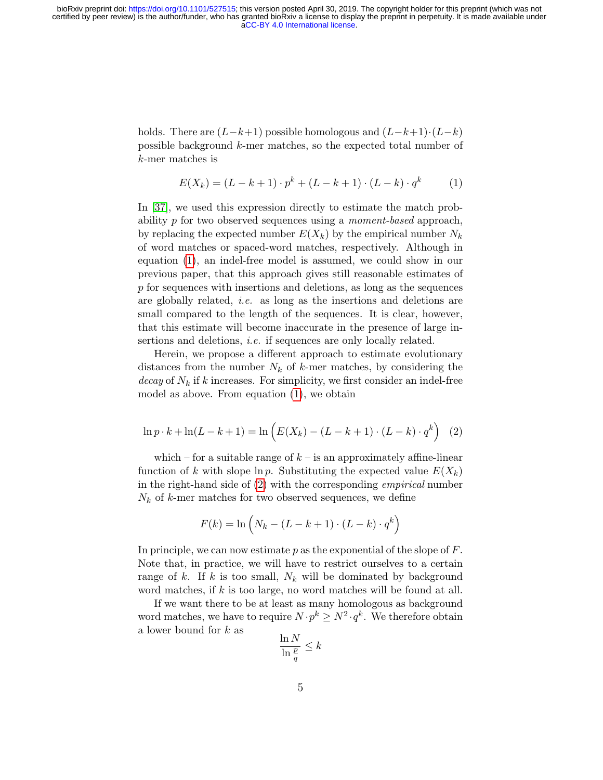holds. There are  $(L-k+1)$  possible homologous and  $(L-k+1) \cdot (L-k)$ possible background k-mer matches, so the expected total number of k-mer matches is

<span id="page-4-0"></span>
$$
E(X_k) = (L - k + 1) \cdot p^k + (L - k + 1) \cdot (L - k) \cdot q^k \tag{1}
$$

In [\[37\]](#page-22-7), we used this expression directly to estimate the match probability p for two observed sequences using a moment-based approach, by replacing the expected number  $E(X_k)$  by the empirical number  $N_k$ of word matches or spaced-word matches, respectively. Although in equation [\(1\)](#page-4-0), an indel-free model is assumed, we could show in our previous paper, that this approach gives still reasonable estimates of p for sequences with insertions and deletions, as long as the sequences are globally related, i.e. as long as the insertions and deletions are small compared to the length of the sequences. It is clear, however, that this estimate will become inaccurate in the presence of large insertions and deletions, *i.e.* if sequences are only locally related.

Herein, we propose a different approach to estimate evolutionary distances from the number  $N_k$  of k-mer matches, by considering the decay of  $N_k$  if k increases. For simplicity, we first consider an indel-free model as above. From equation [\(1\)](#page-4-0), we obtain

<span id="page-4-1"></span>
$$
\ln p \cdot k + \ln(L - k + 1) = \ln \left( E(X_k) - (L - k + 1) \cdot (L - k) \cdot q^k \right) \tag{2}
$$

which – for a suitable range of  $k$  – is an approximately affine-linear function of k with slope  $\ln p$ . Substituting the expected value  $E(X_k)$ in the right-hand side of [\(2\)](#page-4-1) with the corresponding empirical number  $N_k$  of k-mer matches for two observed sequences, we define

$$
F(k) = \ln\left(N_k - (L - k + 1) \cdot (L - k) \cdot q^k\right)
$$

In principle, we can now estimate p as the exponential of the slope of  $F$ . Note that, in practice, we will have to restrict ourselves to a certain range of k. If k is too small,  $N_k$  will be dominated by background word matches, if  $k$  is too large, no word matches will be found at all.

If we want there to be at least as many homologous as background word matches, we have to require  $N \cdot p^k \ge N^2 \cdot q^k$ . We therefore obtain a lower bound for k as

$$
\frac{\ln N}{\ln \frac{p}{q}} \leq k
$$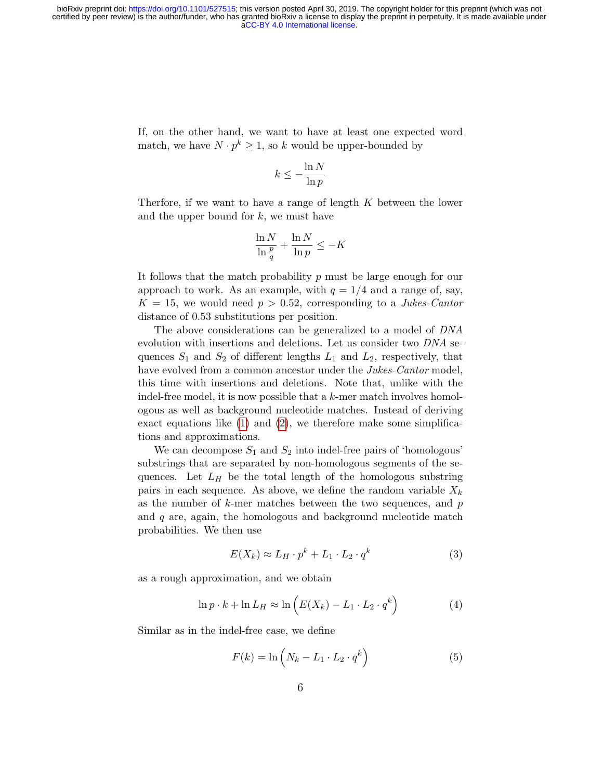If, on the other hand, we want to have at least one expected word match, we have  $N \cdot p^k \geq 1$ , so k would be upper-bounded by

$$
k \leq -\frac{\ln N}{\ln p}
$$

Therfore, if we want to have a range of length  $K$  between the lower and the upper bound for  $k$ , we must have

$$
\frac{\ln N}{\ln \frac{p}{q}} + \frac{\ln N}{\ln p} \le -K
$$

It follows that the match probability  $p$  must be large enough for our approach to work. As an example, with  $q = 1/4$  and a range of, say,  $K = 15$ , we would need  $p > 0.52$ , corresponding to a *Jukes-Cantor* distance of 0.53 substitutions per position.

The above considerations can be generalized to a model of DNA evolution with insertions and deletions. Let us consider two DNA sequences  $S_1$  and  $S_2$  of different lengths  $L_1$  and  $L_2$ , respectively, that have evolved from a common ancestor under the *Jukes-Cantor* model, this time with insertions and deletions. Note that, unlike with the indel-free model, it is now possible that a  $k$ -mer match involves homologous as well as background nucleotide matches. Instead of deriving exact equations like [\(1\)](#page-4-0) and [\(2\)](#page-4-1), we therefore make some simplifications and approximations.

We can decompose  $S_1$  and  $S_2$  into indel-free pairs of 'homologous' substrings that are separated by non-homologous segments of the sequences. Let  $L_H$  be the total length of the homologous substring pairs in each sequence. As above, we define the random variable  $X_k$ as the number of  $k$ -mer matches between the two sequences, and  $p$ and  $q$  are, again, the homologous and background nucleotide match probabilities. We then use

<span id="page-5-1"></span><span id="page-5-0"></span>
$$
E(X_k) \approx L_H \cdot p^k + L_1 \cdot L_2 \cdot q^k \tag{3}
$$

as a rough approximation, and we obtain

$$
\ln p \cdot k + \ln L_H \approx \ln \left( E(X_k) - L_1 \cdot L_2 \cdot q^k \right) \tag{4}
$$

Similar as in the indel-free case, we define

<span id="page-5-2"></span>
$$
F(k) = \ln\left(N_k - L_1 \cdot L_2 \cdot q^k\right) \tag{5}
$$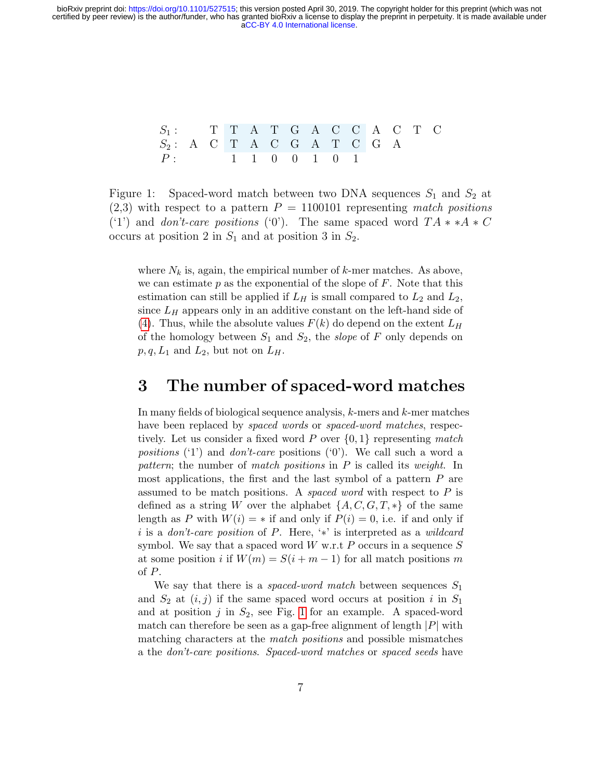$$
\begin{array}{cccccccccccccc} S_1: & & T & T & A & T & G & A & C & C & A & C & T & C \\ S_2: & A & C & T & A & C & G & A & T & C & G & A \\ P: & & & 1 & 1 & 0 & 0 & 1 & 0 & 1 \end{array}
$$

<span id="page-6-0"></span>Figure 1: Spaced-word match between two DNA sequences  $S_1$  and  $S_2$  at  $(2,3)$  with respect to a pattern  $P = 1100101$  representing match positions ('1') and don't-care positions ('0'). The same spaced word  $TA \times A \times C$ occurs at position 2 in  $S_1$  and at position 3 in  $S_2$ .

where  $N_k$  is, again, the empirical number of k-mer matches. As above, we can estimate  $p$  as the exponential of the slope of  $F$ . Note that this estimation can still be applied if  $L_H$  is small compared to  $L_2$  and  $L_2$ , since  $L_H$  appears only in an additive constant on the left-hand side of [\(4\)](#page-5-0). Thus, while the absolute values  $F(k)$  do depend on the extent  $L_H$ of the homology between  $S_1$  and  $S_2$ , the slope of F only depends on  $p, q, L_1$  and  $L_2$ , but not on  $L_H$ .

#### 3 The number of spaced-word matches

In many fields of biological sequence analysis, k-mers and k-mer matches have been replaced by *spaced words* or *spaced-word matches*, respectively. Let us consider a fixed word P over  $\{0,1\}$  representing match *positions* ('1') and *don't-care* positions ('0'). We call such a word a pattern; the number of match positions in P is called its weight. In most applications, the first and the last symbol of a pattern  $P$  are assumed to be match positions. A *spaced word* with respect to  $P$  is defined as a string W over the alphabet  $\{A, C, G, T, *\}$  of the same length as P with  $W(i) = *$  if and only if  $P(i) = 0$ , i.e. if and only if i is a don't-care position of P. Here, '\*' is interpreted as a wildcard symbol. We say that a spaced word  $W$  w.r.t  $P$  occurs in a sequence  $S$ at some position i if  $W(m) = S(i + m - 1)$  for all match positions m of P.

We say that there is a *spaced-word match* between sequences  $S_1$ and  $S_2$  at  $(i, j)$  if the same spaced word occurs at position i in  $S_1$ and at position  $j$  in  $S_2$ , see Fig. [1](#page-6-0) for an example. A spaced-word match can therefore be seen as a gap-free alignment of length  $|P|$  with matching characters at the match positions and possible mismatches a the don't-care positions. Spaced-word matches or spaced seeds have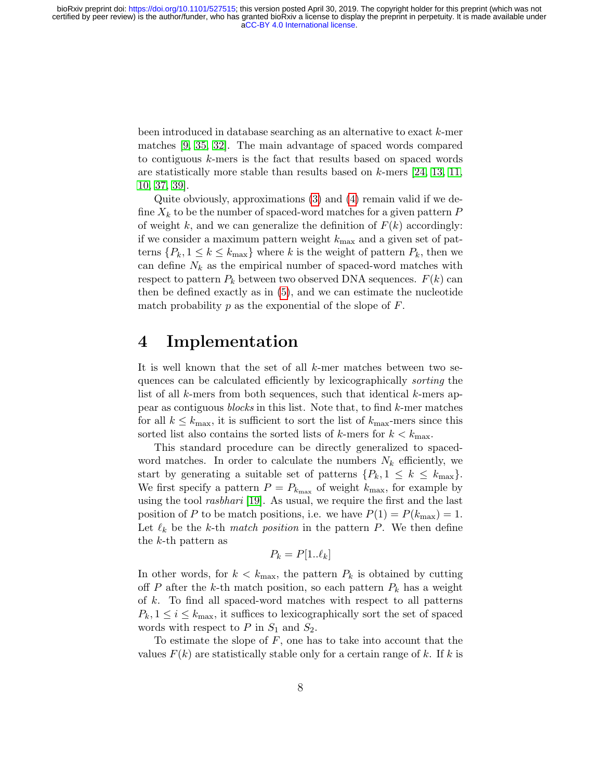been introduced in database searching as an alternative to exact k-mer matches [\[9,](#page-19-8) [35,](#page-22-8) [32\]](#page-22-9). The main advantage of spaced words compared to contiguous k-mers is the fact that results based on spaced words are statistically more stable than results based on  $k$ -mers [\[24,](#page-21-10) [13,](#page-20-5) [11,](#page-20-3) [10,](#page-20-6) [37,](#page-22-7) [39\]](#page-22-10).

Quite obviously, approximations [\(3\)](#page-5-1) and [\(4\)](#page-5-0) remain valid if we define  $X_k$  to be the number of spaced-word matches for a given pattern P of weight k, and we can generalize the definition of  $F(k)$  accordingly: if we consider a maximum pattern weight  $k_{\text{max}}$  and a given set of patterns  $\{P_k, 1 \leq k \leq k_{\text{max}}\}$  where k is the weight of pattern  $P_k$ , then we can define  $N_k$  as the empirical number of spaced-word matches with respect to pattern  $P_k$  between two observed DNA sequences.  $F(k)$  can then be defined exactly as in [\(5\)](#page-5-2), and we can estimate the nucleotide match probability  $p$  as the exponential of the slope of  $F$ .

### <span id="page-7-0"></span>4 Implementation

It is well known that the set of all  $k$ -mer matches between two sequences can be calculated efficiently by lexicographically sorting the list of all k-mers from both sequences, such that identical k-mers appear as contiguous blocks in this list. Note that, to find k-mer matches for all  $k \leq k_{\text{max}}$ , it is sufficient to sort the list of  $k_{\text{max}}$ -mers since this sorted list also contains the sorted lists of k-mers for  $k < k_{\text{max}}$ .

This standard procedure can be directly generalized to spacedword matches. In order to calculate the numbers  $N_k$  efficiently, we start by generating a suitable set of patterns  $\{P_k, 1 \leq k \leq k_{\text{max}}\}.$ We first specify a pattern  $P = P_{k_{\text{max}}}$  of weight  $k_{\text{max}}$ , for example by using the tool *rasbhari* [\[19\]](#page-20-7). As usual, we require the first and the last position of P to be match positions, i.e. we have  $P(1) = P(k_{\text{max}}) = 1$ . Let  $\ell_k$  be the k-th match position in the pattern P. We then define the k-th pattern as

$$
P_k = P[1..\ell_k]
$$

In other words, for  $k < k_{\text{max}}$ , the pattern  $P_k$  is obtained by cutting off P after the k-th match position, so each pattern  $P_k$  has a weight of k. To find all spaced-word matches with respect to all patterns  $P_k, 1 \leq i \leq k_{\text{max}}$ , it suffices to lexicographically sort the set of spaced words with respect to  $P$  in  $S_1$  and  $S_2$ .

To estimate the slope of F, one has to take into account that the values  $F(k)$  are statistically stable only for a certain range of k. If k is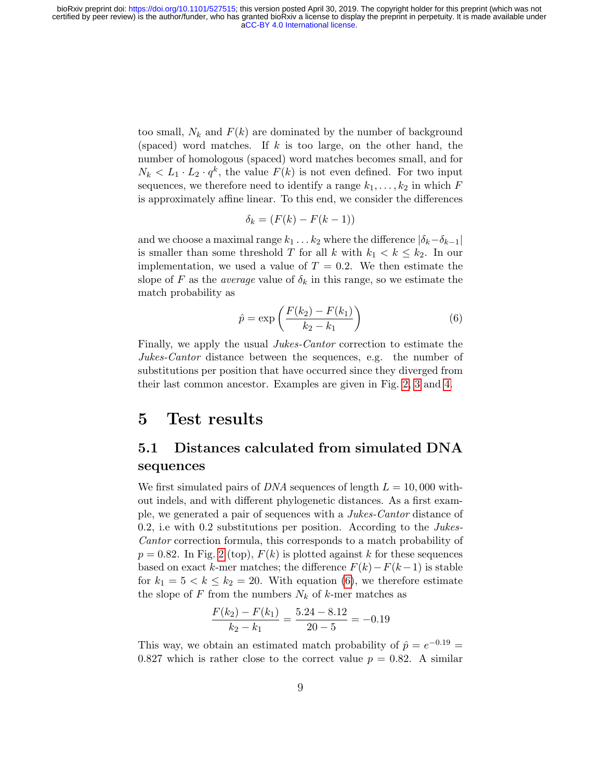too small,  $N_k$  and  $F(k)$  are dominated by the number of background (spaced) word matches. If  $k$  is too large, on the other hand, the number of homologous (spaced) word matches becomes small, and for  $N_k < L_1 \cdot L_2 \cdot q^k$ , the value  $F(k)$  is not even defined. For two input sequences, we therefore need to identify a range  $k_1, \ldots, k_2$  in which F is approximately affine linear. To this end, we consider the differences

$$
\delta_k = (F(k) - F(k-1))
$$

and we choose a maximal range  $k_1 \ldots k_2$  where the difference  $|\delta_k-\delta_{k-1}|$ is smaller than some threshold T for all k with  $k_1 < k \leq k_2$ . In our implementation, we used a value of  $T = 0.2$ . We then estimate the slope of F as the *average* value of  $\delta_k$  in this range, so we estimate the match probability as

<span id="page-8-0"></span>
$$
\hat{p} = \exp\left(\frac{F(k_2) - F(k_1)}{k_2 - k_1}\right) \tag{6}
$$

Finally, we apply the usual Jukes-Cantor correction to estimate the Jukes-Cantor distance between the sequences, e.g. the number of substitutions per position that have occurred since they diverged from their last common ancestor. Examples are given in Fig. [2,](#page-10-0) [3](#page-11-0) and [4.](#page-12-0)

## 5 Test results

#### 5.1 Distances calculated from simulated DNA sequences

We first simulated pairs of *DNA* sequences of length  $L = 10,000$  without indels, and with different phylogenetic distances. As a first example, we generated a pair of sequences with a Jukes-Cantor distance of 0.2, i.e with 0.2 substitutions per position. According to the *Jukes*-Cantor correction formula, this corresponds to a match probability of  $p = 0.82$ . In Fig. [2](#page-10-0) (top),  $F(k)$  is plotted against k for these sequences based on exact k-mer matches; the difference  $F(k)-F(k-1)$  is stable for  $k_1 = 5 < k \leq k_2 = 20$ . With equation [\(6\)](#page-8-0), we therefore estimate the slope of F from the numbers  $N_k$  of k-mer matches as

$$
\frac{F(k_2) - F(k_1)}{k_2 - k_1} = \frac{5.24 - 8.12}{20 - 5} = -0.19
$$

This way, we obtain an estimated match probability of  $\hat{p} = e^{-0.19}$ 0.827 which is rather close to the correct value  $p = 0.82$ . A similar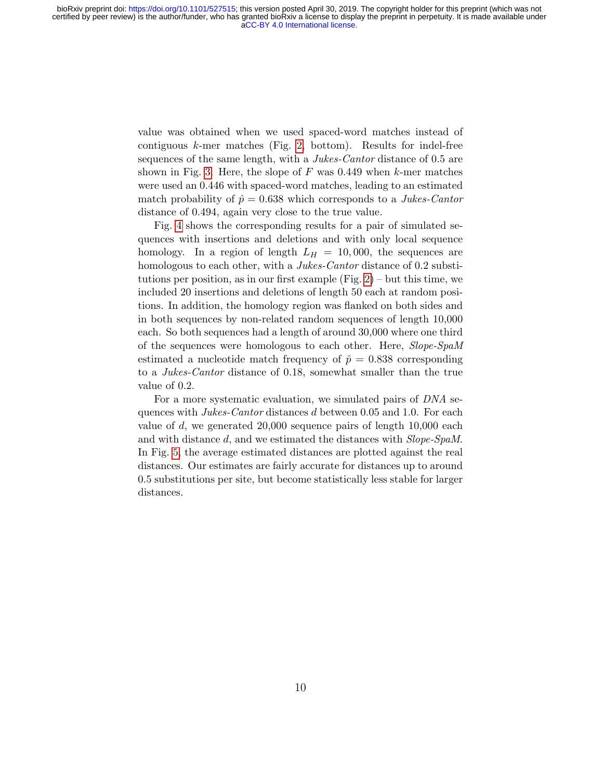value was obtained when we used spaced-word matches instead of contiguous  $k$ -mer matches (Fig. [2,](#page-10-0) bottom). Results for indel-free sequences of the same length, with a *Jukes-Cantor* distance of 0.5 are shown in Fig. [3.](#page-11-0) Here, the slope of  $F$  was 0.449 when  $k$ -mer matches were used an 0.446 with spaced-word matches, leading to an estimated match probability of  $\hat{p} = 0.638$  which corresponds to a *Jukes-Cantor* distance of 0.494, again very close to the true value.

Fig. [4](#page-12-0) shows the corresponding results for a pair of simulated sequences with insertions and deletions and with only local sequence homology. In a region of length  $L_H = 10,000$ , the sequences are homologous to each other, with a *Jukes-Cantor* distance of 0.2 substitutions per position, as in our first example (Fig.  $2$ ) – but this time, we included 20 insertions and deletions of length 50 each at random positions. In addition, the homology region was flanked on both sides and in both sequences by non-related random sequences of length 10,000 each. So both sequences had a length of around 30,000 where one third of the sequences were homologous to each other. Here, Slope-SpaM estimated a nucleotide match frequency of  $\hat{p} = 0.838$  corresponding to a Jukes-Cantor distance of 0.18, somewhat smaller than the true value of 0.2.

For a more systematic evaluation, we simulated pairs of DNA sequences with Jukes-Cantor distances d between 0.05 and 1.0. For each value of d, we generated 20,000 sequence pairs of length  $10,000$  each and with distance d, and we estimated the distances with Slope-SpaM. In Fig. [5,](#page-13-0) the average estimated distances are plotted against the real distances. Our estimates are fairly accurate for distances up to around 0.5 substitutions per site, but become statistically less stable for larger distances.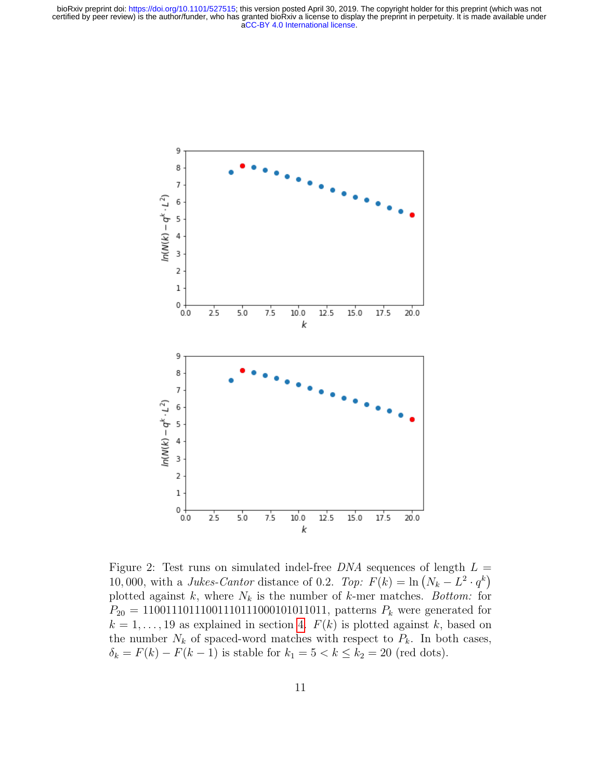

<span id="page-10-0"></span>Figure 2: Test runs on simulated indel-free  $DNA$  sequences of length  $L =$ 10,000, with a Jukes-Cantor distance of 0.2. Top:  $F(k) = \ln (N_k - L^2 \cdot q^k)$ plotted against k, where  $N_k$  is the number of k-mer matches. Bottom: for  $P_{20} = 11001110111001110111000101011011$ , patterns  $P_k$  were generated for  $k = 1, \ldots, 19$  as explained in section [4.](#page-7-0)  $F(k)$  is plotted against k, based on the number  $N_k$  of spaced-word matches with respect to  $P_k$ . In both cases,  $\delta_k = F(k) - F(k-1)$  is stable for  $k_1 = 5 < k \le k_2 = 20$  (red dots).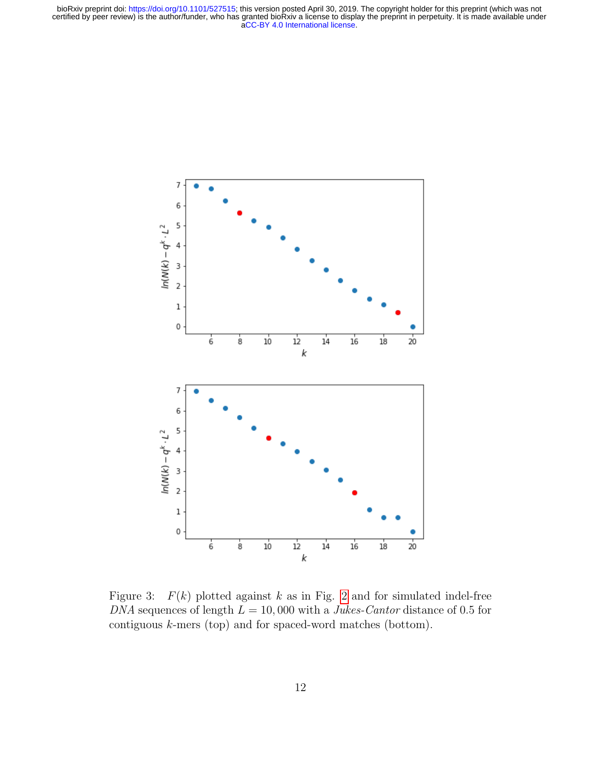

<span id="page-11-0"></span>Figure 3:  $F(k)$  plotted against k as in Fig. [2](#page-10-0) and for simulated indel-free DNA sequences of length  $L = 10,000$  with a *Jukes-Cantor* distance of 0.5 for contiguous k-mers (top) and for spaced-word matches (bottom).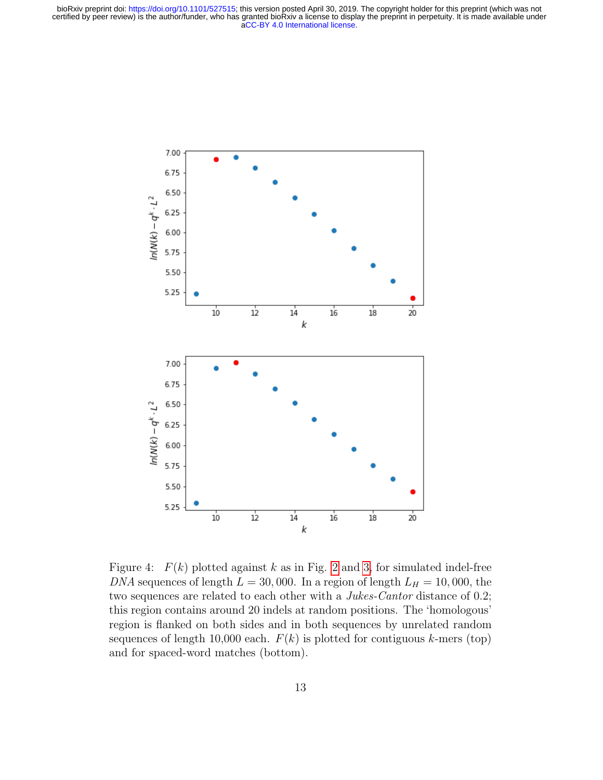

<span id="page-12-0"></span>Figure 4:  $F(k)$  plotted against k as in Fig. [2](#page-10-0) and [3,](#page-11-0) for simulated indel-free DNA sequences of length  $L = 30,000$ . In a region of length  $L_H = 10,000$ , the two sequences are related to each other with a *Jukes-Cantor* distance of 0.2; this region contains around 20 indels at random positions. The 'homologous' region is flanked on both sides and in both sequences by unrelated random sequences of length 10,000 each.  $F(k)$  is plotted for contiguous k-mers (top) and for spaced-word matches (bottom).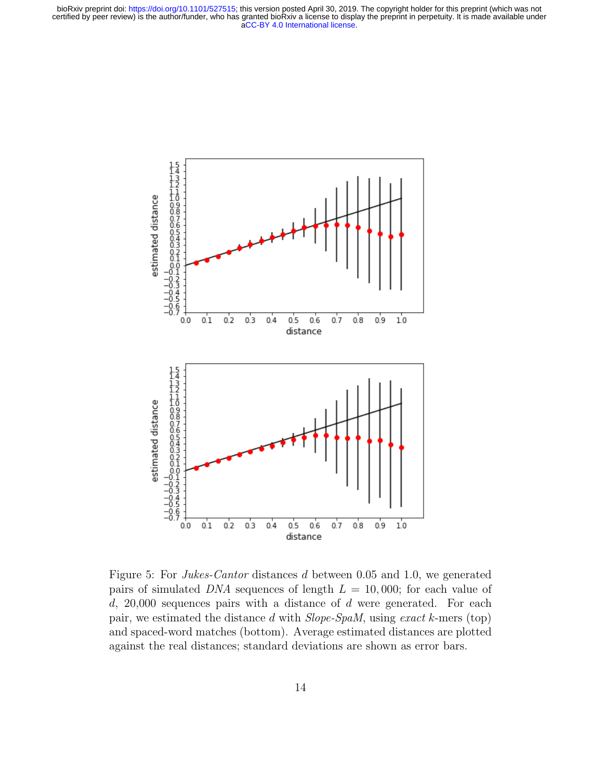

<span id="page-13-0"></span>Figure 5: For Jukes-Cantor distances d between 0.05 and 1.0, we generated pairs of simulated DNA sequences of length  $L = 10,000$ ; for each value of  $d$ , 20,000 sequences pairs with a distance of  $d$  were generated. For each pair, we estimated the distance d with Slope-SpaM, using exact k-mers (top) and spaced-word matches (bottom). Average estimated distances are plotted against the real distances; standard deviations are shown as error bars.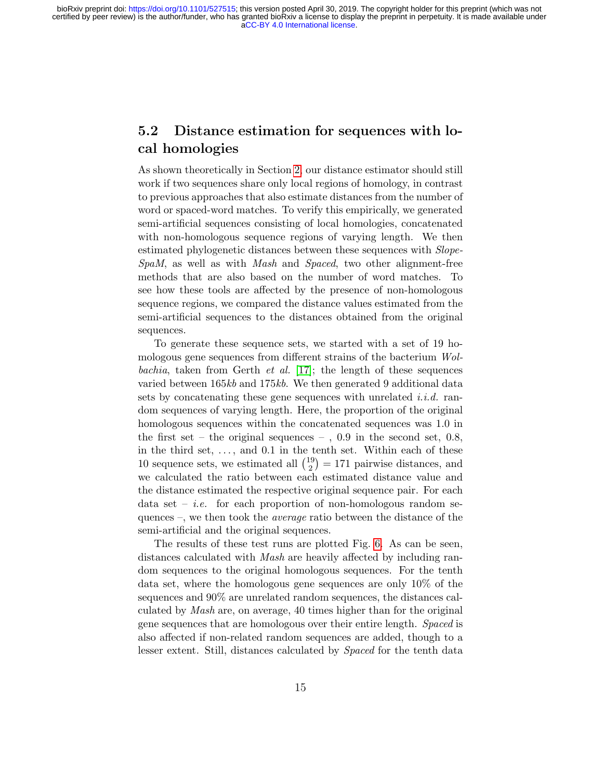#### 5.2 Distance estimation for sequences with local homologies

As shown theoretically in Section [2,](#page-3-0) our distance estimator should still work if two sequences share only local regions of homology, in contrast to previous approaches that also estimate distances from the number of word or spaced-word matches. To verify this empirically, we generated semi-artificial sequences consisting of local homologies, concatenated with non-homologous sequence regions of varying length. We then estimated phylogenetic distances between these sequences with Slope-SpaM, as well as with Mash and Spaced, two other alignment-free methods that are also based on the number of word matches. To see how these tools are affected by the presence of non-homologous sequence regions, we compared the distance values estimated from the semi-artificial sequences to the distances obtained from the original sequences.

To generate these sequence sets, we started with a set of 19 homologous gene sequences from different strains of the bacterium Wolbachia, taken from Gerth *et al.* [\[17\]](#page-20-8); the length of these sequences varied between 165kb and 175kb. We then generated 9 additional data sets by concatenating these gene sequences with unrelated *i.i.d.* random sequences of varying length. Here, the proportion of the original homologous sequences within the concatenated sequences was 1.0 in the first set – the original sequences –,  $0.9$  in the second set,  $0.8$ , in the third set,  $\dots$ , and 0.1 in the tenth set. Within each of these 10 sequence sets, we estimated all  $\binom{19}{2}$  $2^{(9)} = 171$  pairwise distances, and we calculated the ratio between each estimated distance value and the distance estimated the respective original sequence pair. For each data set – *i.e.* for each proportion of non-homologous random sequences –, we then took the average ratio between the distance of the semi-artificial and the original sequences.

The results of these test runs are plotted Fig. [6.](#page-15-0) As can be seen, distances calculated with *Mash* are heavily affected by including random sequences to the original homologous sequences. For the tenth data set, where the homologous gene sequences are only 10% of the sequences and 90% are unrelated random sequences, the distances calculated by Mash are, on average, 40 times higher than for the original gene sequences that are homologous over their entire length. Spaced is also affected if non-related random sequences are added, though to a lesser extent. Still, distances calculated by Spaced for the tenth data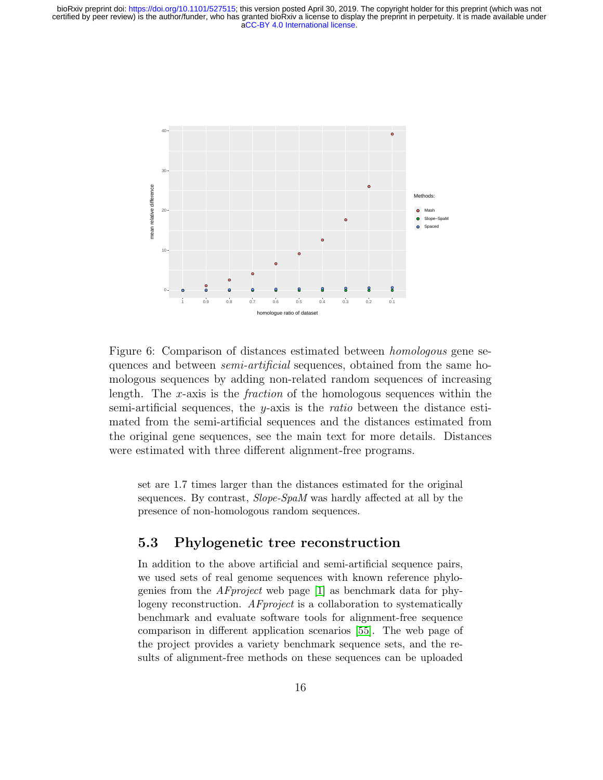

<span id="page-15-0"></span>Figure 6: Comparison of distances estimated between homologous gene sequences and between *semi-artificial* sequences, obtained from the same homologous sequences by adding non-related random sequences of increasing length. The x-axis is the *fraction* of the homologous sequences within the semi-artificial sequences, the  $y$ -axis is the *ratio* between the distance estimated from the semi-artificial sequences and the distances estimated from the original gene sequences, see the main text for more details. Distances were estimated with three different alignment-free programs.

set are 1.7 times larger than the distances estimated for the original sequences. By contrast, Slope-SpaM was hardly affected at all by the presence of non-homologous random sequences.

#### 5.3 Phylogenetic tree reconstruction

In addition to the above artificial and semi-artificial sequence pairs, we used sets of real genome sequences with known reference phylogenies from the AFproject web page [\[1\]](#page-19-7) as benchmark data for phylogeny reconstruction. AFproject is a collaboration to systematically benchmark and evaluate software tools for alignment-free sequence comparison in different application scenarios [\[55\]](#page-24-3). The web page of the project provides a variety benchmark sequence sets, and the results of alignment-free methods on these sequences can be uploaded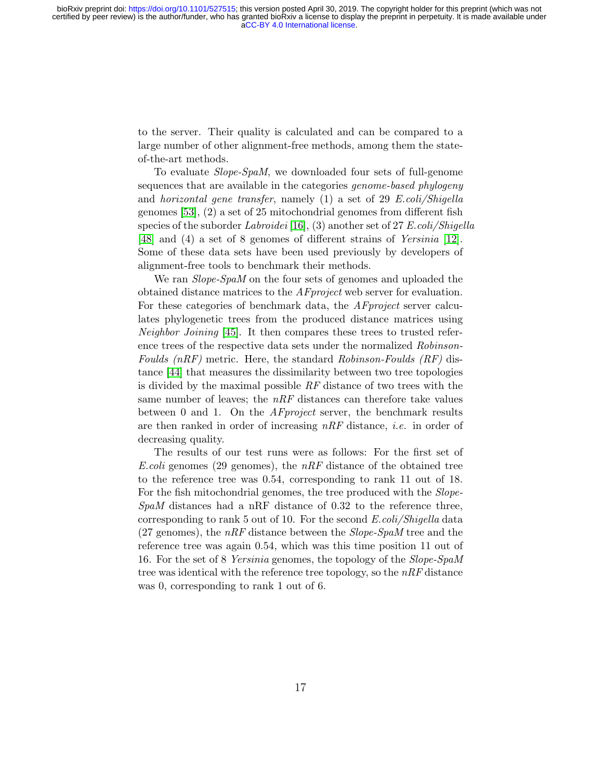to the server. Their quality is calculated and can be compared to a large number of other alignment-free methods, among them the stateof-the-art methods.

To evaluate Slope-SpaM, we downloaded four sets of full-genome sequences that are available in the categories *genome-based phylogeny* and horizontal gene transfer, namely (1) a set of 29 E.coli/Shigella genomes [\[53\]](#page-24-1), (2) a set of 25 mitochondrial genomes from different fish species of the suborder Labroidei [\[16\]](#page-20-9), (3) another set of 27 E.coli/Shigella [\[48\]](#page-23-7) and (4) a set of 8 genomes of different strains of *Yersinia* [\[12\]](#page-20-10). Some of these data sets have been used previously by developers of alignment-free tools to benchmark their methods.

We ran *Slope-SpaM* on the four sets of genomes and uploaded the obtained distance matrices to the AFproject web server for evaluation. For these categories of benchmark data, the AFproject server calculates phylogenetic trees from the produced distance matrices using *Neighbor Joining* [\[45\]](#page-23-8). It then compares these trees to trusted reference trees of the respective data sets under the normalized Robinson-Foulds  $(nRF)$  metric. Here, the standard Robinson-Foulds  $(RF)$  distance [\[44\]](#page-23-9) that measures the dissimilarity between two tree topologies is divided by the maximal possible RF distance of two trees with the same number of leaves; the  $nRF$  distances can therefore take values between 0 and 1. On the *AF project* server, the benchmark results are then ranked in order of increasing nRF distance, i.e. in order of decreasing quality.

The results of our test runs were as follows: For the first set of E.coli genomes (29 genomes), the  $nRF$  distance of the obtained tree to the reference tree was 0.54, corresponding to rank 11 out of 18. For the fish mitochondrial genomes, the tree produced with the Slope- $SpaM$  distances had a nRF distance of 0.32 to the reference three, corresponding to rank 5 out of 10. For the second E.coli/Shigella data (27 genomes), the  $nRF$  distance between the *Slope-SpaM* tree and the reference tree was again 0.54, which was this time position 11 out of 16. For the set of 8 Yersinia genomes, the topology of the Slope-SpaM tree was identical with the reference tree topology, so the  $nRF$  distance was 0, corresponding to rank 1 out of 6.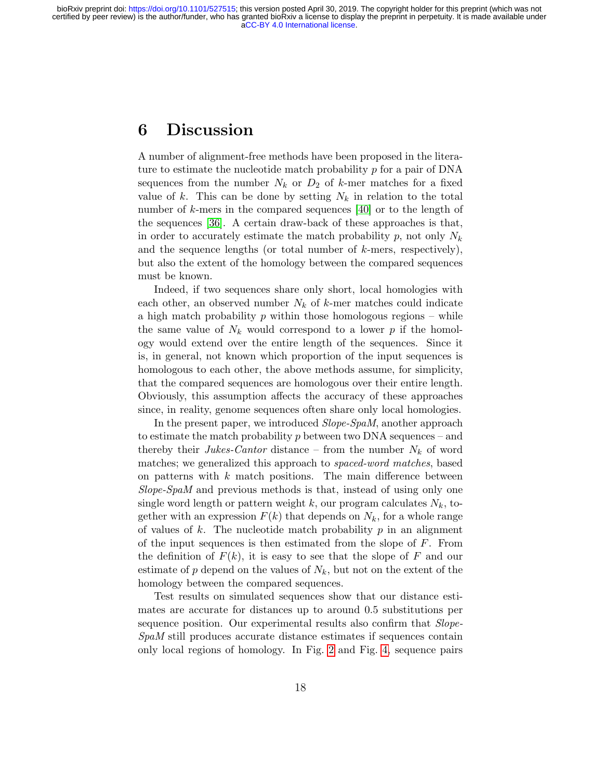## 6 Discussion

A number of alignment-free methods have been proposed in the literature to estimate the nucleotide match probability  $p$  for a pair of DNA sequences from the number  $N_k$  or  $D_2$  of k-mer matches for a fixed value of k. This can be done by setting  $N_k$  in relation to the total number of k-mers in the compared sequences [\[40\]](#page-22-0) or to the length of the sequences [\[36\]](#page-22-6). A certain draw-back of these approaches is that, in order to accurately estimate the match probability p, not only  $N_k$ and the sequence lengths (or total number of  $k$ -mers, respectively), but also the extent of the homology between the compared sequences must be known.

Indeed, if two sequences share only short, local homologies with each other, an observed number  $N_k$  of k-mer matches could indicate a high match probability  $p$  within those homologous regions – while the same value of  $N_k$  would correspond to a lower p if the homology would extend over the entire length of the sequences. Since it is, in general, not known which proportion of the input sequences is homologous to each other, the above methods assume, for simplicity, that the compared sequences are homologous over their entire length. Obviously, this assumption affects the accuracy of these approaches since, in reality, genome sequences often share only local homologies.

In the present paper, we introduced Slope-SpaM, another approach to estimate the match probability  $p$  between two DNA sequences – and thereby their Jukes-Cantor distance – from the number  $N_k$  of word matches; we generalized this approach to *spaced-word matches*, based on patterns with  $k$  match positions. The main difference between Slope-SpaM and previous methods is that, instead of using only one single word length or pattern weight k, our program calculates  $N_k$ , together with an expression  $F(k)$  that depends on  $N_k$ , for a whole range of values of  $k$ . The nucleotide match probability  $p$  in an alignment of the input sequences is then estimated from the slope of F. From the definition of  $F(k)$ , it is easy to see that the slope of F and our estimate of p depend on the values of  $N_k$ , but not on the extent of the homology between the compared sequences.

Test results on simulated sequences show that our distance estimates are accurate for distances up to around 0.5 substitutions per sequence position. Our experimental results also confirm that *Slope*-SpaM still produces accurate distance estimates if sequences contain only local regions of homology. In Fig. [2](#page-10-0) and Fig. [4,](#page-12-0) sequence pairs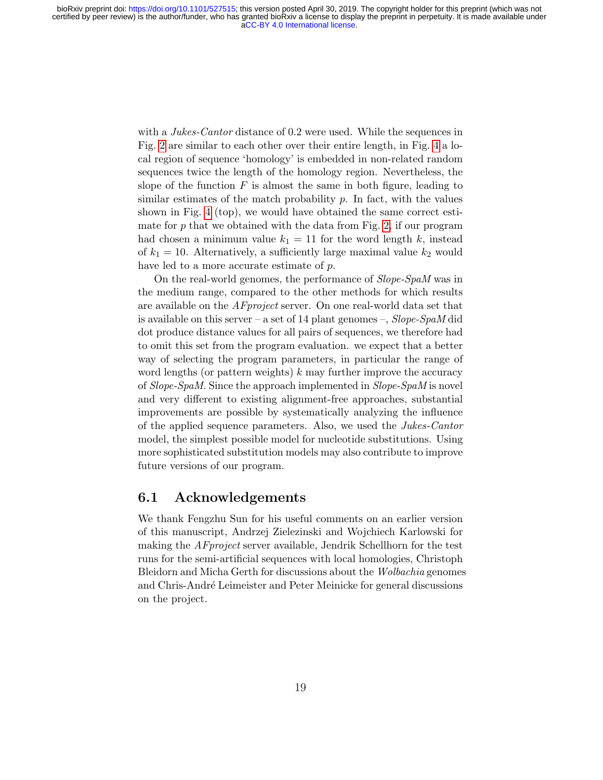with a *Jukes-Cantor* distance of 0.2 were used. While the sequences in Fig. [2](#page-10-0) are similar to each other over their entire length, in Fig. [4](#page-12-0) a local region of sequence 'homology' is embedded in non-related random sequences twice the length of the homology region. Nevertheless, the slope of the function  $F$  is almost the same in both figure, leading to similar estimates of the match probability  $p$ . In fact, with the values shown in Fig. [4](#page-12-0) (top), we would have obtained the same correct estimate for  $p$  that we obtained with the data from Fig. [2,](#page-10-0) if our program had chosen a minimum value  $k_1 = 11$  for the word length k, instead of  $k_1 = 10$ . Alternatively, a sufficiently large maximal value  $k_2$  would have led to a more accurate estimate of p.

On the real-world genomes, the performance of Slope-SpaM was in the medium range, compared to the other methods for which results are available on the AFproject server. On one real-world data set that is available on this server – a set of 14 plant genomes –,  $Slope-SpaM$  did dot produce distance values for all pairs of sequences, we therefore had to omit this set from the program evaluation. we expect that a better way of selecting the program parameters, in particular the range of word lengths (or pattern weights)  $k$  may further improve the accuracy of Slope-SpaM. Since the approach implemented in Slope-SpaM is novel and very different to existing alignment-free approaches, substantial improvements are possible by systematically analyzing the influence of the applied sequence parameters. Also, we used the Jukes-Cantor model, the simplest possible model for nucleotide substitutions. Using more sophisticated substitution models may also contribute to improve future versions of our program.

#### 6.1 Acknowledgements

We thank Fengzhu Sun for his useful comments on an earlier version of this manuscript, Andrzej Zielezinski and Wojchiech Karlowski for making the AFproject server available, Jendrik Schellhorn for the test runs for the semi-artificial sequences with local homologies, Christoph Bleidorn and Micha Gerth for discussions about the Wolbachia genomes and Chris-André Leimeister and Peter Meinicke for general discussions on the project.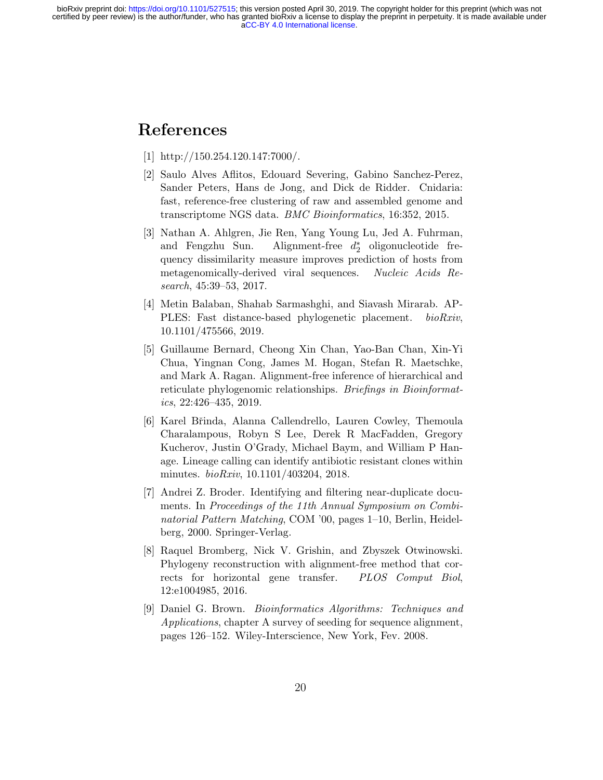## <span id="page-19-7"></span>References

- [1] http://150.254.120.147:7000/.
- <span id="page-19-1"></span>[2] Saulo Alves Aflitos, Edouard Severing, Gabino Sanchez-Perez, Sander Peters, Hans de Jong, and Dick de Ridder. Cnidaria: fast, reference-free clustering of raw and assembled genome and transcriptome NGS data. BMC Bioinformatics, 16:352, 2015.
- <span id="page-19-4"></span>[3] Nathan A. Ahlgren, Jie Ren, Yang Young Lu, Jed A. Fuhrman, and Fengzhu Sun. ∗ 2 oligonucleotide frequency dissimilarity measure improves prediction of hosts from metagenomically-derived viral sequences. Nucleic Acids Research, 45:39–53, 2017.
- <span id="page-19-2"></span>[4] Metin Balaban, Shahab Sarmashghi, and Siavash Mirarab. AP-PLES: Fast distance-based phylogenetic placement. bioRxiv, 10.1101/475566, 2019.
- <span id="page-19-0"></span>[5] Guillaume Bernard, Cheong Xin Chan, Yao-Ban Chan, Xin-Yi Chua, Yingnan Cong, James M. Hogan, Stefan R. Maetschke, and Mark A. Ragan. Alignment-free inference of hierarchical and reticulate phylogenomic relationships. *Briefings in Bioinformat*ics, 22:426–435, 2019.
- <span id="page-19-3"></span>[6] Karel Břinda, Alanna Callendrello, Lauren Cowley, Themoula Charalampous, Robyn S Lee, Derek R MacFadden, Gregory Kucherov, Justin O'Grady, Michael Baym, and William P Hanage. Lineage calling can identify antibiotic resistant clones within minutes. bioRxiv, 10.1101/403204, 2018.
- <span id="page-19-5"></span>[7] Andrei Z. Broder. Identifying and filtering near-duplicate documents. In Proceedings of the 11th Annual Symposium on Combinatorial Pattern Matching, COM '00, pages 1–10, Berlin, Heidelberg, 2000. Springer-Verlag.
- <span id="page-19-6"></span>[8] Raquel Bromberg, Nick V. Grishin, and Zbyszek Otwinowski. Phylogeny reconstruction with alignment-free method that corrects for horizontal gene transfer. PLOS Comput Biol, 12:e1004985, 2016.
- <span id="page-19-8"></span>[9] Daniel G. Brown. Bioinformatics Algorithms: Techniques and Applications, chapter A survey of seeding for sequence alignment, pages 126–152. Wiley-Interscience, New York, Fev. 2008.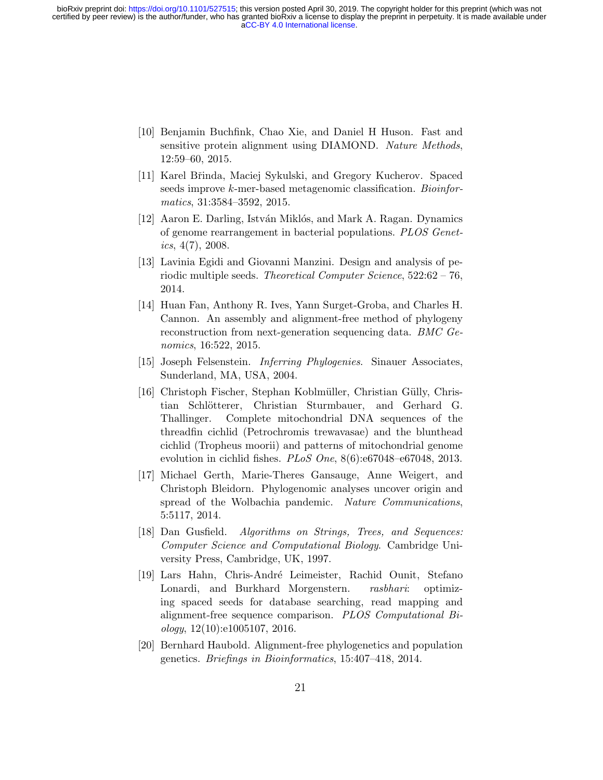- <span id="page-20-6"></span>[10] Benjamin Buchfink, Chao Xie, and Daniel H Huson. Fast and sensitive protein alignment using DIAMOND. Nature Methods, 12:59–60, 2015.
- <span id="page-20-3"></span>[11] Karel Břinda, Maciej Sykulski, and Gregory Kucherov. Spaced seeds improve k-mer-based metagenomic classification. Bioinformatics, 31:3584–3592, 2015.
- <span id="page-20-10"></span>[12] Aaron E. Darling, István Miklós, and Mark A. Ragan. Dynamics of genome rearrangement in bacterial populations. PLOS Genetics,  $4(7)$ , 2008.
- <span id="page-20-5"></span>[13] Lavinia Egidi and Giovanni Manzini. Design and analysis of periodic multiple seeds. Theoretical Computer Science, 522:62 – 76, 2014.
- <span id="page-20-2"></span>[14] Huan Fan, Anthony R. Ives, Yann Surget-Groba, and Charles H. Cannon. An assembly and alignment-free method of phylogeny reconstruction from next-generation sequencing data. BMC Genomics, 16:522, 2015.
- <span id="page-20-0"></span>[15] Joseph Felsenstein. Inferring Phylogenies. Sinauer Associates, Sunderland, MA, USA, 2004.
- <span id="page-20-9"></span>[16] Christoph Fischer, Stephan Koblmüller, Christian Gülly, Christian Schlötterer, Christian Sturmbauer, and Gerhard G. Thallinger. Complete mitochondrial DNA sequences of the threadfin cichlid (Petrochromis trewavasae) and the blunthead cichlid (Tropheus moorii) and patterns of mitochondrial genome evolution in cichlid fishes.  $PLoS$   $One$ ,  $8(6)$ :e67048–e67048, 2013.
- <span id="page-20-8"></span>[17] Michael Gerth, Marie-Theres Gansauge, Anne Weigert, and Christoph Bleidorn. Phylogenomic analyses uncover origin and spread of the Wolbachia pandemic. Nature Communications, 5:5117, 2014.
- <span id="page-20-4"></span>[18] Dan Gusfield. Algorithms on Strings, Trees, and Sequences: Computer Science and Computational Biology. Cambridge University Press, Cambridge, UK, 1997.
- <span id="page-20-7"></span>[19] Lars Hahn, Chris-André Leimeister, Rachid Ounit, Stefano Lonardi, and Burkhard Morgenstern. rasbhari: optimizing spaced seeds for database searching, read mapping and alignment-free sequence comparison. PLOS Computational Biology, 12(10):e1005107, 2016.
- <span id="page-20-1"></span>[20] Bernhard Haubold. Alignment-free phylogenetics and population genetics. Briefings in Bioinformatics, 15:407–418, 2014.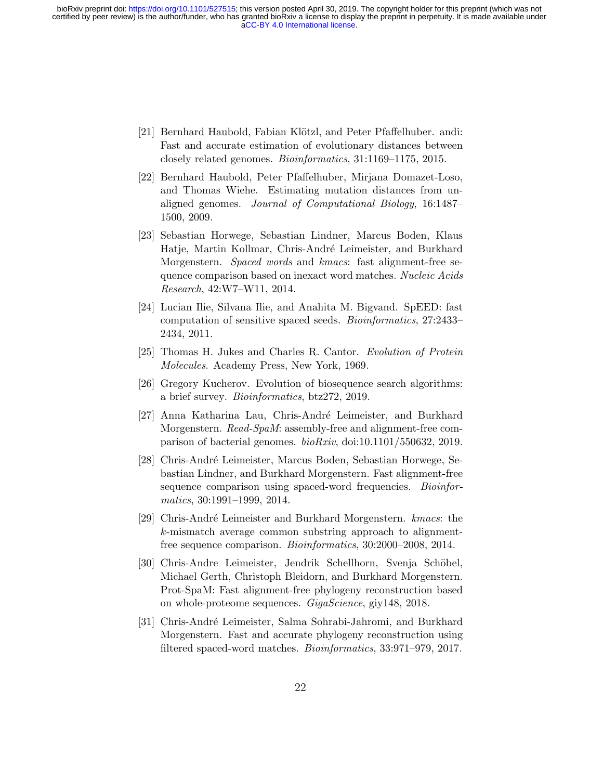- <span id="page-21-6"></span>[21] Bernhard Haubold, Fabian Klötzl, and Peter Pfaffelhuber. andi: Fast and accurate estimation of evolutionary distances between closely related genomes. Bioinformatics, 31:1169–1175, 2015.
- <span id="page-21-5"></span>[22] Bernhard Haubold, Peter Pfaffelhuber, Mirjana Domazet-Loso, and Thomas Wiehe. Estimating mutation distances from unaligned genomes. Journal of Computational Biology, 16:1487– 1500, 2009.
- <span id="page-21-4"></span>[23] Sebastian Horwege, Sebastian Lindner, Marcus Boden, Klaus Hatje, Martin Kollmar, Chris-André Leimeister, and Burkhard Morgenstern. *Spaced words* and *kmacs*: fast alignment-free sequence comparison based on inexact word matches. Nucleic Acids Research, 42:W7–W11, 2014.
- <span id="page-21-10"></span>[24] Lucian Ilie, Silvana Ilie, and Anahita M. Bigvand. SpEED: fast computation of sensitive spaced seeds. Bioinformatics, 27:2433– 2434, 2011.
- <span id="page-21-0"></span>[25] Thomas H. Jukes and Charles R. Cantor. Evolution of Protein Molecules. Academy Press, New York, 1969.
- <span id="page-21-1"></span>[26] Gregory Kucherov. Evolution of biosequence search algorithms: a brief survey. Bioinformatics, btz272, 2019.
- <span id="page-21-2"></span>[27] Anna Katharina Lau, Chris-André Leimeister, and Burkhard Morgenstern. *Read-SpaM*: assembly-free and alignment-free comparison of bacterial genomes. bioRxiv, doi:10.1101/550632, 2019.
- <span id="page-21-9"></span>[28] Chris-André Leimeister, Marcus Boden, Sebastian Horwege, Sebastian Lindner, and Burkhard Morgenstern. Fast alignment-free sequence comparison using spaced-word frequencies. Bioinformatics, 30:1991–1999, 2014.
- <span id="page-21-3"></span>[29] Chris-André Leimeister and Burkhard Morgenstern. kmacs: the k-mismatch average common substring approach to alignmentfree sequence comparison. *Bioinformatics*, 30:2000–2008, 2014.
- <span id="page-21-8"></span>[30] Chris-Andre Leimeister, Jendrik Schellhorn, Svenja Schöbel, Michael Gerth, Christoph Bleidorn, and Burkhard Morgenstern. Prot-SpaM: Fast alignment-free phylogeny reconstruction based on whole-proteome sequences. GigaScience, giy148, 2018.
- <span id="page-21-7"></span>[31] Chris-André Leimeister, Salma Sohrabi-Jahromi, and Burkhard Morgenstern. Fast and accurate phylogeny reconstruction using filtered spaced-word matches. *Bioinformatics*, 33:971–979, 2017.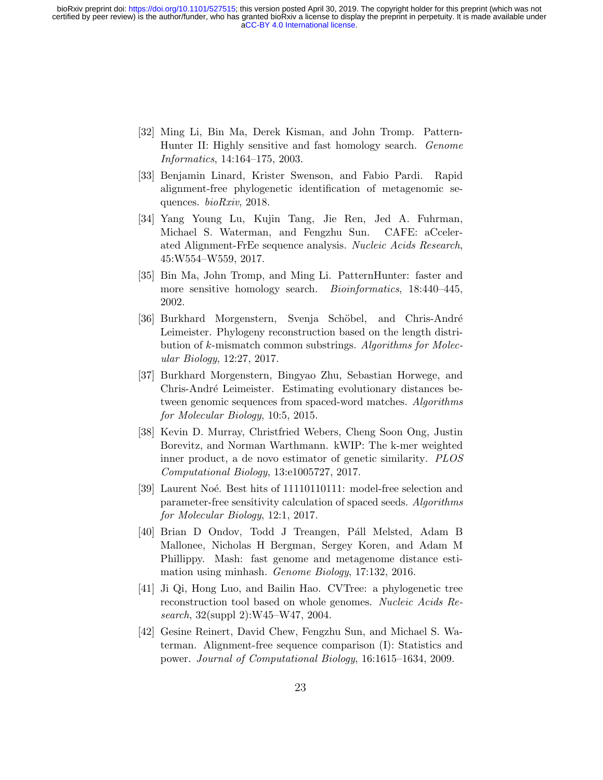- <span id="page-22-9"></span>[32] Ming Li, Bin Ma, Derek Kisman, and John Tromp. Pattern-Hunter II: Highly sensitive and fast homology search. Genome Informatics, 14:164–175, 2003.
- <span id="page-22-2"></span>[33] Benjamin Linard, Krister Swenson, and Fabio Pardi. Rapid alignment-free phylogenetic identification of metagenomic sequences. bioRxiv, 2018.
- <span id="page-22-1"></span>[34] Yang Young Lu, Kujin Tang, Jie Ren, Jed A. Fuhrman, Michael S. Waterman, and Fengzhu Sun. CAFE: aCcelerated Alignment-FrEe sequence analysis. Nucleic Acids Research, 45:W554–W559, 2017.
- <span id="page-22-8"></span>[35] Bin Ma, John Tromp, and Ming Li. PatternHunter: faster and more sensitive homology search. *Bioinformatics*, 18:440-445, 2002.
- <span id="page-22-6"></span>[36] Burkhard Morgenstern, Svenja Schöbel, and Chris-André Leimeister. Phylogeny reconstruction based on the length distribution of k-mismatch common substrings. Algorithms for Molecular Biology, 12:27, 2017.
- <span id="page-22-7"></span>[37] Burkhard Morgenstern, Bingyao Zhu, Sebastian Horwege, and Chris-André Leimeister. Estimating evolutionary distances between genomic sequences from spaced-word matches. Algorithms for Molecular Biology, 10:5, 2015.
- <span id="page-22-5"></span>[38] Kevin D. Murray, Christfried Webers, Cheng Soon Ong, Justin Borevitz, and Norman Warthmann. kWIP: The k-mer weighted inner product, a de novo estimator of genetic similarity. PLOS Computational Biology, 13:e1005727, 2017.
- <span id="page-22-10"></span>[39] Laurent Noé. Best hits of 11110110111: model-free selection and parameter-free sensitivity calculation of spaced seeds. Algorithms for Molecular Biology, 12:1, 2017.
- <span id="page-22-0"></span>[40] Brian D Ondov, Todd J Treangen, Páll Melsted, Adam B Mallonee, Nicholas H Bergman, Sergey Koren, and Adam M Phillippy. Mash: fast genome and metagenome distance estimation using minhash. Genome Biology, 17:132, 2016.
- <span id="page-22-3"></span>[41] Ji Qi, Hong Luo, and Bailin Hao. CVTree: a phylogenetic tree reconstruction tool based on whole genomes. Nucleic Acids Research, 32(suppl 2):W45–W47, 2004.
- <span id="page-22-4"></span>[42] Gesine Reinert, David Chew, Fengzhu Sun, and Michael S. Waterman. Alignment-free sequence comparison (I): Statistics and power. Journal of Computational Biology, 16:1615–1634, 2009.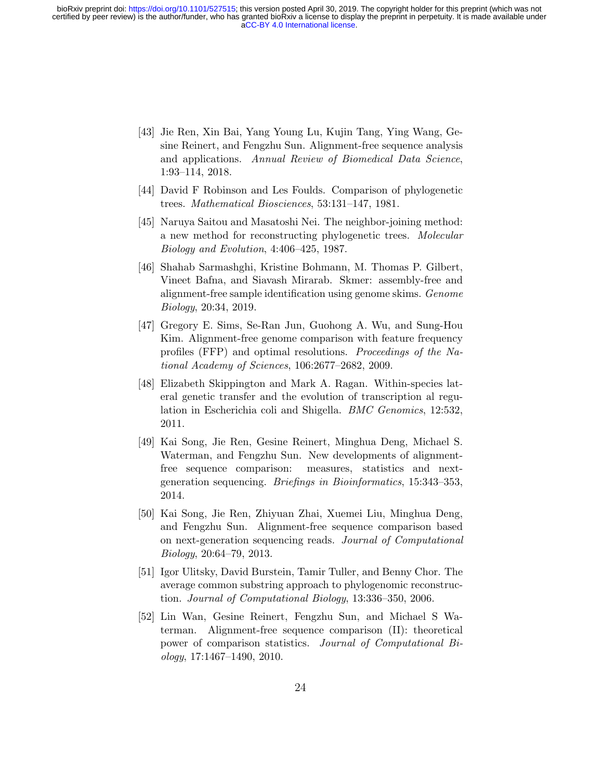- <span id="page-23-6"></span>[43] Jie Ren, Xin Bai, Yang Young Lu, Kujin Tang, Ying Wang, Gesine Reinert, and Fengzhu Sun. Alignment-free sequence analysis and applications. Annual Review of Biomedical Data Science, 1:93–114, 2018.
- <span id="page-23-9"></span>[44] David F Robinson and Les Foulds. Comparison of phylogenetic trees. Mathematical Biosciences, 53:131–147, 1981.
- <span id="page-23-8"></span>[45] Naruya Saitou and Masatoshi Nei. The neighbor-joining method: a new method for reconstructing phylogenetic trees. Molecular Biology and Evolution, 4:406–425, 1987.
- <span id="page-23-1"></span>[46] Shahab Sarmashghi, Kristine Bohmann, M. Thomas P. Gilbert, Vineet Bafna, and Siavash Mirarab. Skmer: assembly-free and alignment-free sample identification using genome skims. Genome Biology, 20:34, 2019.
- <span id="page-23-2"></span>[47] Gregory E. Sims, Se-Ran Jun, Guohong A. Wu, and Sung-Hou Kim. Alignment-free genome comparison with feature frequency profiles (FFP) and optimal resolutions. Proceedings of the National Academy of Sciences, 106:2677–2682, 2009.
- <span id="page-23-7"></span>[48] Elizabeth Skippington and Mark A. Ragan. Within-species lateral genetic transfer and the evolution of transcription al regulation in Escherichia coli and Shigella. *BMC Genomics*, 12:532, 2011.
- <span id="page-23-0"></span>[49] Kai Song, Jie Ren, Gesine Reinert, Minghua Deng, Michael S. Waterman, and Fengzhu Sun. New developments of alignmentfree sequence comparison: measures, statistics and nextgeneration sequencing. Briefings in Bioinformatics, 15:343–353, 2014.
- <span id="page-23-5"></span>[50] Kai Song, Jie Ren, Zhiyuan Zhai, Xuemei Liu, Minghua Deng, and Fengzhu Sun. Alignment-free sequence comparison based on next-generation sequencing reads. Journal of Computational Biology, 20:64–79, 2013.
- <span id="page-23-3"></span>[51] Igor Ulitsky, David Burstein, Tamir Tuller, and Benny Chor. The average common substring approach to phylogenomic reconstruction. Journal of Computational Biology, 13:336–350, 2006.
- <span id="page-23-4"></span>[52] Lin Wan, Gesine Reinert, Fengzhu Sun, and Michael S Waterman. Alignment-free sequence comparison (II): theoretical power of comparison statistics. Journal of Computational Bi- $\omega$ logy, 17:1467–1490, 2010.